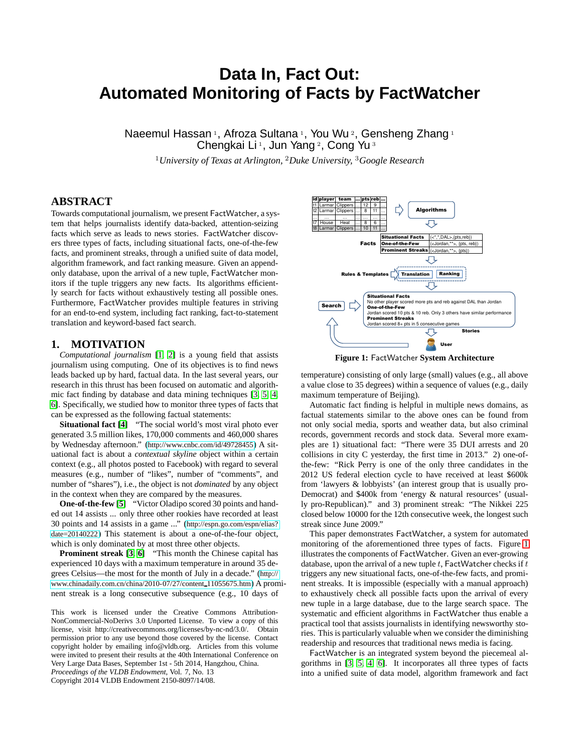# **Data In, Fact Out: Automated Monitoring of Facts by FactWatcher**

Naeemul Hassan<sup>1</sup>, Afroza Sultana<sup>1</sup>, You Wu<sup>2</sup>, Gensheng Zhang<sup>1</sup> Chengkai Li<sup>1</sup>, Jun Yang<sup>2</sup>, Cong Yu<sup>3</sup>

<sup>1</sup>*University of Texas at Arlington,* <sup>2</sup>*Duke University,* <sup>3</sup>*Google Research*

#### **ABSTRACT**

Towards computational journalism, we present FactWatcher, a system that helps journalists identify data-backed, attention-seizing facts which serve as leads to news stories. FactWatcher discovers three types of facts, including situational facts, one-of-the-few facts, and prominent streaks, through a unified suite of data model, algorithm framework, and fact ranking measure. Given an appendonly database, upon the arrival of a new tuple, FactWatcher monitors if the tuple triggers any new facts. Its algorithms efficiently search for facts without exhaustively testing all possible ones. Furthermore, FactWatcher provides multiple features in striving for an end-to-end system, including fact ranking, fact-to-statement translation and keyword-based fact search.

#### **1. MOTIVATION**

*Computational journalism* [\[1,](#page-3-0) [2\]](#page-3-1) is a young field that assists journalism using computing. One of its objectives is to find news leads backed up by hard, factual data. In the last several years, our research in this thrust has been focused on automatic and algorithmic fact finding by database and data mining techniques [\[3,](#page-3-2) [5,](#page-3-3) [4,](#page-3-4) [6\]](#page-3-5). Specifically, we studied how to monitor three types of facts that can be expressed as the following factual statements:

**Situational fact** [\[4\]](#page-3-4) "The social world's most viral photo ever generated 3.5 million likes, 170,000 comments and 460,000 shares by Wednesday afternoon." (<http://www.cnbc.com/id/49728455>) A situational fact is about a *contextual skyline* object within a certain context (e.g., all photos posted to Facebook) with regard to several measures (e.g., number of "likes", number of "comments", and number of "shares"), i.e., the object is not *dominated* by any object in the context when they are compared by the measures.

**One-of-the-few [\[5\]](#page-3-3)** "Victor Oladipo scored 30 points and handed out 14 assists ... only three other rookies have recorded at least 30 points and 14 assists in a game ..." ([http://espn.go.com/espn/elias?](http://espn.go.com/espn/elias?date=20140222) [date=20140222](http://espn.go.com/espn/elias?date=20140222)) This statement is about a one-of-the-four object, which is only dominated by at most three other objects.

**Prominent streak [\[3,](#page-3-2) [6\]](#page-3-5) "This month the Chinese capital has** experienced 10 days with a maximum temperature in around 35 degrees Celsius—the most for the month of July in a decade." ([http://](http://www.chinadaily.com.cn/china/2010-07/27/content_11055675.htm) [www.chinadaily.com.cn/china/2010-07/27/content](http://www.chinadaily.com.cn/china/2010-07/27/content_11055675.htm) 11055675.htm) A prominent streak is a long consecutive subsequence (e.g., 10 days of

This work is licensed under the Creative Commons Attribution-NonCommercial-NoDerivs 3.0 Unported License. To view a copy of this license, visit http://creativecommons.org/licenses/by-nc-nd/3.0/. Obtain permission prior to any use beyond those covered by the license. Contact copyright holder by emailing info@vldb.org. Articles from this volume were invited to present their results at the 40th International Conference on Very Large Data Bases, September 1st - 5th 2014, Hangzhou, China. *Proceedings of the VLDB Endowment,* Vol. 7, No. 13 Copyright 2014 VLDB Endowment 2150-8097/14/08.



<span id="page-0-0"></span>**Figure 1:** FactWatcher **System Architecture**

temperature) consisting of only large (small) values (e.g., all above a value close to 35 degrees) within a sequence of values (e.g., daily maximum temperature of Beijing).

Automatic fact finding is helpful in multiple news domains, as factual statements similar to the above ones can be found from not only social media, sports and weather data, but also criminal records, government records and stock data. Several more examples are 1) situational fact: "There were 35 DUI arrests and 20 collisions in city C yesterday, the first time in 2013." 2) one-ofthe-few: "Rick Perry is one of the only three candidates in the 2012 US federal election cycle to have received at least \$600k from 'lawyers & lobbyists' (an interest group that is usually pro-Democrat) and \$400k from 'energy & natural resources' (usually pro-Republican)." and 3) prominent streak: "The Nikkei 225 closed below 10000 for the 12th consecutive week, the longest such streak since June 2009."

This paper demonstrates FactWatcher, a system for automated monitoring of the aforementioned three types of facts. Figure [1](#page-0-0) illustrates the components of FactWatcher. Given an ever-growing database, upon the arrival of a new tuple  $t$ , FactWatcher checks if  $t$ triggers any new situational facts, one-of-the-few facts, and prominent streaks. It is impossible (especially with a manual approach) to exhaustively check all possible facts upon the arrival of every new tuple in a large database, due to the large search space. The systematic and efficient algorithms in FactWatcher thus enable a practical tool that assists journalists in identifying newsworthy stories. This is particularly valuable when we consider the diminishing readership and resources that traditional news media is facing.

FactWatcher is an integrated system beyond the piecemeal algorithms in [\[3,](#page-3-2) [5,](#page-3-3) [4,](#page-3-4) [6\]](#page-3-5). It incorporates all three types of facts into a unified suite of data model, algorithm framework and fact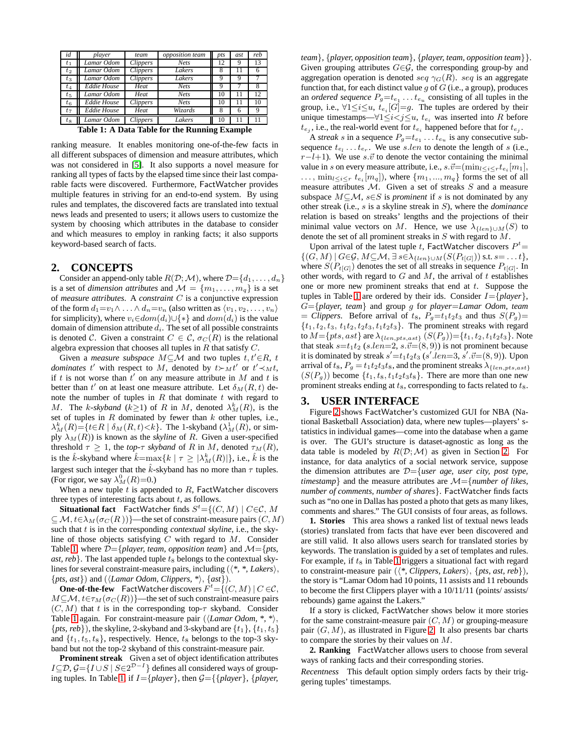| id      | player             | team            | opposition team | pts | ast | reb |
|---------|--------------------|-----------------|-----------------|-----|-----|-----|
| $t_{1}$ | Lamar Odom         | <b>Clippers</b> | Nets            | 12  | 9   | 13  |
| $t_2$   | Lamar Odom         | <b>Clippers</b> | Lakers          | 8   |     |     |
| $t_{3}$ | Lamar Odom         | <b>Clippers</b> | Lakers          | 9   | 9   |     |
| $t_4$   | <b>Eddie House</b> | Heat            | <b>Nets</b>     | 9   |     | 8   |
| $t_{5}$ | Lamar Odom         | Heat            | <b>Nets</b>     | 10  |     | 12  |
| $t_6$   | <b>Eddie House</b> | <b>Clippers</b> | <b>Nets</b>     | 10  |     | 10  |
| $_{t7}$ | <b>Eddie House</b> | Heat            | Wizards         | 8   | 6   | 9   |
| $t_{8}$ | Lamar Odom         | <b>Clippers</b> | Lakers          | 10  |     |     |

<span id="page-1-0"></span>**Table 1: A Data Table for the Running Example**

ranking measure. It enables monitoring one-of-the-few facts in all different subspaces of dimension and measure attributes, which was not considered in [\[5\]](#page-3-3). It also supports a novel measure for ranking all types of facts by the elapsed time since their last comparable facts were discovered. Furthermore, FactWatcher provides multiple features in striving for an end-to-end system. By using rules and templates, the discovered facts are translated into textual news leads and presented to users; it allows users to customize the system by choosing which attributes in the database to consider and which measures to employ in ranking facts; it also supports keyword-based search of facts.

#### <span id="page-1-1"></span>**2. CONCEPTS**

Consider an append-only table  $R(\mathcal{D};\mathcal{M})$ , where  $\mathcal{D} = \{d_1, \ldots, d_n\}$ is a set of *dimension attributes* and  $\mathcal{M} = \{m_1, \ldots, m_q\}$  is a set of *measure attributes*. A *constraint* C is a conjunctive expression of the form  $d_1=v_1\wedge \ldots \wedge d_n=v_n$  (also written as  $\langle v_1, v_2, \ldots, v_n \rangle$ ) for simplicity), where  $v_i \in dom(d_i) \cup \{*\}$  and  $dom(d_i)$  is the value domain of dimension attribute  $d_i$ . The set of all possible constraints is denoted C. Given a constraint  $C \in \mathcal{C}$ ,  $\sigma_C(R)$  is the relational algebra expression that chooses all tuples in  $R$  that satisfy  $C$ .

Given a *measure subspace*  $M\subseteq\mathcal{M}$  and two tuples  $t, t'\in R$ ,  $t$ *dominates* t' with respect to M, denoted by  $t \succ_M t'$  or  $t' \prec_M t$ , if t is not worse than  $t'$  on any measure attribute in M and t is better than  $t'$  on at least one measure attribute. Let  $\delta_M(R, t)$  denote the number of tuples in  $R$  that dominate  $t$  with regard to M. The k-skyband  $(k \geq 1)$  of R in M, denoted  $\lambda_M^k(R)$ , is the set of tuples in  $R$  dominated by fewer than  $k$  other tuples, i.e.,  $\lambda_M^k(R) = \{t \in R \mid \delta_M(R, t) < k\}.$  The 1-skyband  $(\lambda_M^1(R), \text{ or sim-}$ ply  $\lambda_M(R)$ ) is known as the *skyline* of R. Given a user-specified threshold  $\tau \geq 1$ , the *top-* $\tau$  *skyband* of R in M, denoted  $\tau_M(R)$ , is the  $\hat{k}$ -skyband where  $\hat{k}$ =max $\{k \mid \tau \geq |\lambda_M^k(R)|\}$ , i.e.,  $\hat{k}$  is the largest such integer that the  $\hat{k}$ -skyband has no more than  $\tau$  tuples. (For rigor, we say  $\lambda_M^0(R)=0.$ )

When a new tuple  $t$  is appended to  $R$ , FactWatcher discovers three types of interesting facts about  $t$ , as follows.

**Situational fact** FactWatcher finds  $S^t = \{(C, M) | C \in \mathcal{C}, M\}$  $\subseteq \mathcal{M}, t \in \lambda_M(\sigma_C(R))$ }—the set of constraint-measure pairs  $(C, M)$ such that t is in the corresponding *contextual skyline*, i.e., the skyline of those objects satisfying  $C$  with regard to  $M$ . Consider Table [1,](#page-1-0) where  $D = \{player, team, opposition team\}$  and  $M = \{pts,$ *ast, reb*. The last appended tuple  $t_8$  belongs to the contextual skylines for several constraint-measure pairs, including  $(\langle *, *, \textit{Lakers} \rangle,$ {*pts, ast*}) and ( $\langle Lamar Odom, Clippers, *, \{ast \}, \{ast \}$ ).

**One-of-the-few** FactWatcher discovers  $F^t = \{(C, M) | C \in \mathcal{C},$  $M \subset \mathcal{M}, t \in \tau_M(\sigma_C(R))$ }—the set of such constraint-measure pairs  $(C, M)$  that t is in the corresponding top- $\tau$  skyband. Consider Table [1](#page-1-0) again. For constraint-measure pair  $(\langle Lamar Odom, *, * \rangle,$ {*pts, reb*}), the skyline, 2-skyband and 3-skyband are  $\{t_1\}$ ,  $\{t_1, t_5\}$ and  $\{t_1, t_5, t_8\}$ , respectively. Hence,  $t_8$  belongs to the top-3 skyband but not the top-2 skyband of this constraint-measure pair.

**Prominent streak** Given a set of object identification attributes  $I\subseteq\mathcal{D}, \mathcal{G}=\{I\cup S\mid S\in 2^{\mathcal{D}-I}\}\$ defines all considered ways of group-ing tuples. In Table [1,](#page-1-0) if  $I = \{player\}$ , then  $G = \{\{player\}$ ,  $\{ player, \}$  *team*}, {*player, opposition team*}, {*player, team, opposition team*}}. Given grouping attributes  $G \in \mathcal{G}$ , the corresponding group-by and aggregation operation is denoted seq  $\gamma_G(R)$ . seq is an aggregate function that, for each distinct value  $g$  of  $G$  (i.e., a group), produces an *ordered sequence*  $P_g = t_{e_1} \ldots t_{e_u}$  consisting of all tuples in the group, i.e.,  $\forall 1 \leq i \leq u$ ,  $t_{e_i}[G]=g$ . The tuples are ordered by their unique timestamps— $\forall 1 \leq i < j \leq u$ ,  $t_{e_i}$  was inserted into R before  $t_{e_j}$ , i.e., the real-world event for  $t_{e_i}$  happened before that for  $t_{e_j}$ .

A *streak* s in a sequence  $P_g = t_{e_1} \dots t_{e_u}$  is any consecutive subsequence  $t_{e_l} \dots t_{e_r}$ . We use s.len to denote the length of s (i.e.,  $r-l+1$ ). We use s. $\vec{v}$  to denote the vector containing the minimal value in s on every measure attribute, i.e.,  $s.\vec{v} = (\min_{l \leq i \leq r} t_{e_i}[m_1],$  $\ldots$ ,  $\min_{l \leq i \leq r} t_{e_i}[m_q]$ , where  $\{m_1, ..., m_q\}$  forms the set of all measure attributes  $M$ . Given a set of streaks  $S$  and a measure subspace  $M \subseteq \mathcal{M}$ ,  $s \in S$  is *prominent* if s is not dominated by any other streak (i.e., s is a skyline streak in S), where the *dominance* relation is based on streaks' lengths and the projections of their minimal value vectors on M. Hence, we use  $\lambda_{\{len\} \cup M}(S)$  to denote the set of all prominent streaks in S with regard to M.

Upon arrival of the latest tuple t, FactWatcher discovers  $P<sup>t</sup>$  =  $\{(G,M) \mid G \in \mathcal{G}, M \subseteq \mathcal{M}, \exists s \in \lambda_{\{len\} \cup M}(S(P_{t[G]})) \text{ s.t. } s = \ldots t\},\$ where  $S(P_{t[G]})$  denotes the set of all streaks in sequence  $P_{t[G]}$ . In other words, with regard to  $G$  and  $M$ , the arrival of  $t$  establishes one or more new prominent streaks that end at  $t$ . Suppose the tuples in Table [1](#page-1-0) are ordered by their ids. Consider  $I = \{player\}$ , G={*player, team*} and group g for *player*=*Lamar Odom, team* = *Clippers*. Before arrival of  $t_8$ ,  $P_g$ = $t_1t_2t_3$  and thus  $S(P_g)$ =  $\{t_1, t_2, t_3, t_1t_2, t_2t_3, t_1t_2t_3\}$ . The prominent streaks with regard to  $M = \{pts, ast\}$  are  $\lambda_{\{len,pts, ast\}}(S(P_g)) = \{t_1, t_2, t_1t_2t_3\}$ . Note that steak  $s=t_1t_2$  (s.len=2, s. $\vec{v}=(8, 9)$ ) is not prominent because it is dominated by streak  $s' = t_1t_2t_3$  (s'.len=3,  $s'$ . $\vec{v} = (8, 9)$ ). Upon arrival of  $t_8$ ,  $P_g = t_1t_2t_3t_8$ , and the prominent streaks  $\lambda_{\{len,pts, ast\}}$  $(S(P<sub>g</sub>))$  become  $\{t_1, t_8, t_1t_2t_3t_8\}$ . There are more than one new prominent streaks ending at  $t_8$ , corresponding to facts related to  $t_8$ .

### <span id="page-1-2"></span>**3. USER INTERFACE**

Figure [2](#page-2-0) shows FactWatcher's customized GUI for NBA (National Basketball Association) data, where new tuples—players' statistics in individual games—come into the database when a game is over. The GUI's structure is dataset-agnostic as long as the data table is modeled by  $R(D;M)$  as given in Section [2.](#page-1-1) For instance, for data analytics of a social network service, suppose the dimension attributes are D={*user age, user city, post type, timestamp*} and the measure attributes are M={*number of likes, number of comments, number of shares*}. FactWatcher finds facts such as "no one in Dallas has posted a photo that gets as many likes, comments and shares." The GUI consists of four areas, as follows.

**1. Stories** This area shows a ranked list of textual news leads (stories) translated from facts that have ever been discovered and are still valid. It also allows users search for translated stories by keywords. The translation is guided by a set of templates and rules. For example, if  $t_8$  in Table [1](#page-1-0) triggers a situational fact with regard to constraint-measure pair ( $\langle *, Clippers, Lakers \rangle, \{pts, ast, reb \}$ ), the story is "Lamar Odom had 10 points, 11 assists and 11 rebounds to become the first Clippers player with a 10/11/11 (points/ assists/ rebounds) game against the Lakers."

If a story is clicked, FactWatcher shows below it more stories for the same constraint-measure pair  $(C, M)$  or grouping-measure pair  $(G, M)$ , as illustrated in Figure [2.](#page-2-0) It also presents bar charts to compare the stories by their values on M.

**2. Ranking** FactWatcher allows users to choose from several ways of ranking facts and their corresponding stories.

*Recentness* This default option simply orders facts by their triggering tuples' timestamps.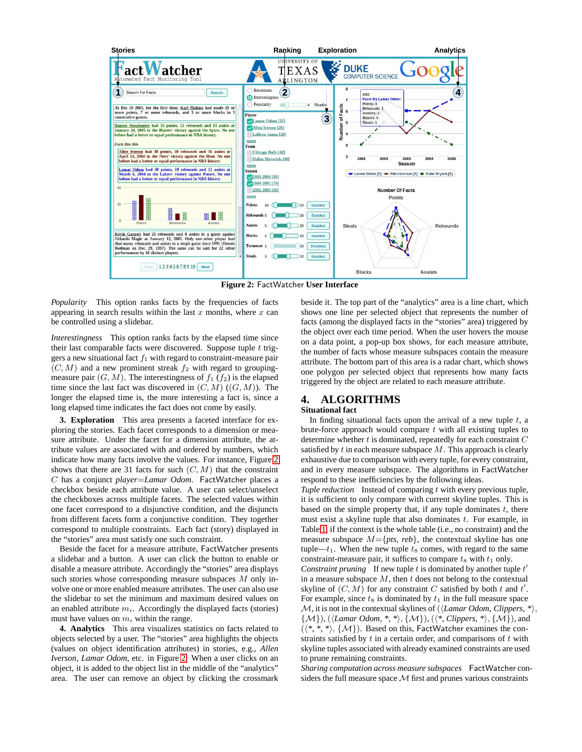

<span id="page-2-0"></span>**Figure 2:** FactWatcher **User Interface**

*Popularity* This option ranks facts by the frequencies of facts appearing in search results within the last  $x$  months, where  $x$  can be controlled using a slidebar.

*Interestingness* This option ranks facts by the elapsed time since their last comparable facts were discovered. Suppose tuple  $t$  triggers a new situational fact  $f_1$  with regard to constraint-measure pair  $(C, M)$  and a new prominent streak  $f_2$  with regard to groupingmeasure pair  $(G, M)$ . The interestingness of  $f_1$   $(f_2)$  is the elapsed time since the last fact was discovered in  $(C, M)$   $((G, M))$ . The longer the elapsed time is, the more interesting a fact is, since a long elapsed time indicates the fact does not come by easily.

**3. Exploration** This area presents a faceted interface for exploring the stories. Each facet corresponds to a dimension or measure attribute. Under the facet for a dimension attribute, the attribute values are associated with and ordered by numbers, which indicate how many facts involve the values. For instance, Figure [2](#page-2-0) shows that there are 31 facts for such  $(C, M)$  that the constraint C has a conjunct *player*=*Lamar Odom*. FactWatcher places a checkbox beside each attribute value. A user can select/unselect the checkboxes across multiple facets. The selected values within one facet correspond to a disjunctive condition, and the disjuncts from different facets form a conjunctive condition. They together correspond to multiple constraints. Each fact (story) displayed in the "stories" area must satisfy one such constraint.

Beside the facet for a measure attribute, FactWatcher presents a slidebar and a button. A user can click the button to enable or disable a measure attribute. Accordingly the "stories" area displays such stories whose corresponding measure subspaces M only involve one or more enabled measure attributes. The user can also use the slidebar to set the minimum and maximum desired values on an enabled attribute  $m_i$ . Accordingly the displayed facts (stories) must have values on  $m_i$  within the range.

**4. Analytics** This area visualizes statistics on facts related to objects selected by a user. The "stories" area highlights the objects (values on object identification attributes) in stories, e.g., *Allen Iverson, Lamar Odom*, etc. in Figure [2.](#page-2-0) When a user clicks on an object, it is added to the object list in the middle of the "analytics" area. The user can remove an object by clicking the crossmark beside it. The top part of the "analytics" area is a line chart, which shows one line per selected object that represents the number of facts (among the displayed facts in the "stories" area) triggered by the object over each time period. When the user hovers the mouse on a data point, a pop-up box shows, for each measure attribute, the number of facts whose measure subspaces contain the measure attribute. The bottom part of this area is a radar chart, which shows one polygon per selected object that represents how many facts triggered by the object are related to each measure attribute.

## **4. ALGORITHMS**

#### **Situational fact**

In finding situational facts upon the arrival of a new tuple  $t$ , a brute-force approach would compare  $t$  with all existing tuples to determine whether  $t$  is dominated, repeatedly for each constraint  $C$ satisfied by  $t$  in each measure subspace  $M$ . This approach is clearly exhaustive due to comparison with every tuple, for every constraint, and in every measure subspace. The algorithms in FactWatcher respond to these inefficiencies by the following ideas.

*Tuple reduction* Instead of comparing t with every previous tuple, it is sufficient to only compare with current skyline tuples. This is based on the simple property that, if any tuple dominates  $t$ , there must exist a skyline tuple that also dominates  $t$ . For example, in Table [1,](#page-1-0) if the context is the whole table (i.e., no constraint) and the measure subspace  $M = \{pts, reb\}$ , the contextual skyline has one tuple— $t_1$ . When the new tuple  $t_8$  comes, with regard to the same constraint-measure pair, it suffices to compare  $t_8$  with  $t_1$  only. *Constraint pruning* If new tuple  $t$  is dominated by another tuple  $t'$ in a measure subspace  $M$ , then  $t$  does not belong to the contextual skyline of  $(C, M)$  for any constraint C satisfied by both t and t'. For example, since  $t_8$  is dominated by  $t_1$  in the full measure space  $M$ , it is not in the contextual skylines of ( $\langle Lamar Odom, Clippers, * \rangle$ , {M}), (h*Lamar Odom, \*, \**i, {M}), (h*\*, Clippers, \**i, {M}), and  $(\langle*,*,*,*\rangle, \{\mathcal{M}\})$ . Based on this, FactWatcher examines the constraints satisfied by  $t$  in a certain order, and comparisons of  $t$  with skyline tuples associated with already examined constraints are used to prune remaining constraints.

*Sharing computation across measure subspaces* FactWatcher considers the full measure space  $M$  first and prunes various constraints